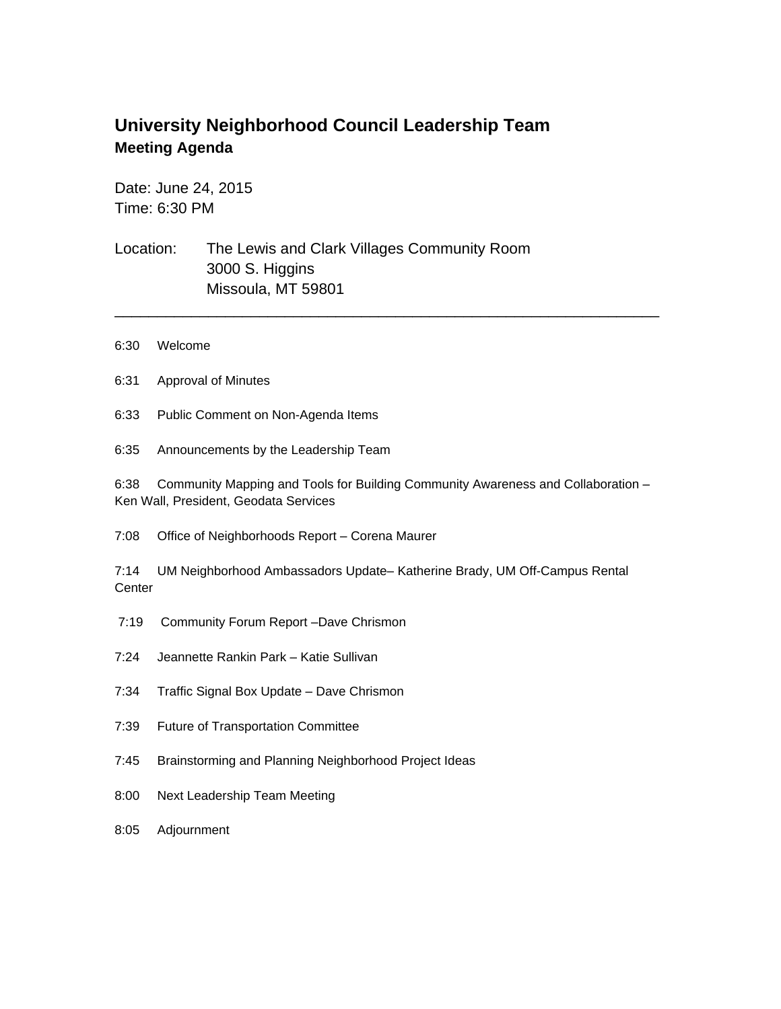## **University Neighborhood Council Leadership Team Meeting Agenda**

Date: June 24, 2015 Time: 6:30 PM

Location: The Lewis and Clark Villages Community Room 3000 S. Higgins Missoula, MT 59801

- 6:30 Welcome
- 6:31 Approval of Minutes
- 6:33 Public Comment on Non-Agenda Items
- 6:35 Announcements by the Leadership Team

6:38 Community Mapping and Tools for Building Community Awareness and Collaboration – Ken Wall, President, Geodata Services

\_\_\_\_\_\_\_\_\_\_\_\_\_\_\_\_\_\_\_\_\_\_\_\_\_\_\_\_\_\_\_\_\_\_\_\_\_\_\_\_\_\_\_\_\_\_\_\_\_\_\_\_\_\_\_\_\_\_\_\_\_\_\_\_

7:08 Office of Neighborhoods Report – Corena Maurer

7:14 UM Neighborhood Ambassadors Update– Katherine Brady, UM Off-Campus Rental **Center** 

- 7:19 Community Forum Report –Dave Chrismon
- 7:24 Jeannette Rankin Park Katie Sullivan
- 7:34 Traffic Signal Box Update Dave Chrismon
- 7:39 Future of Transportation Committee
- 7:45 Brainstorming and Planning Neighborhood Project Ideas
- 8:00 Next Leadership Team Meeting
- 8:05 Adjournment